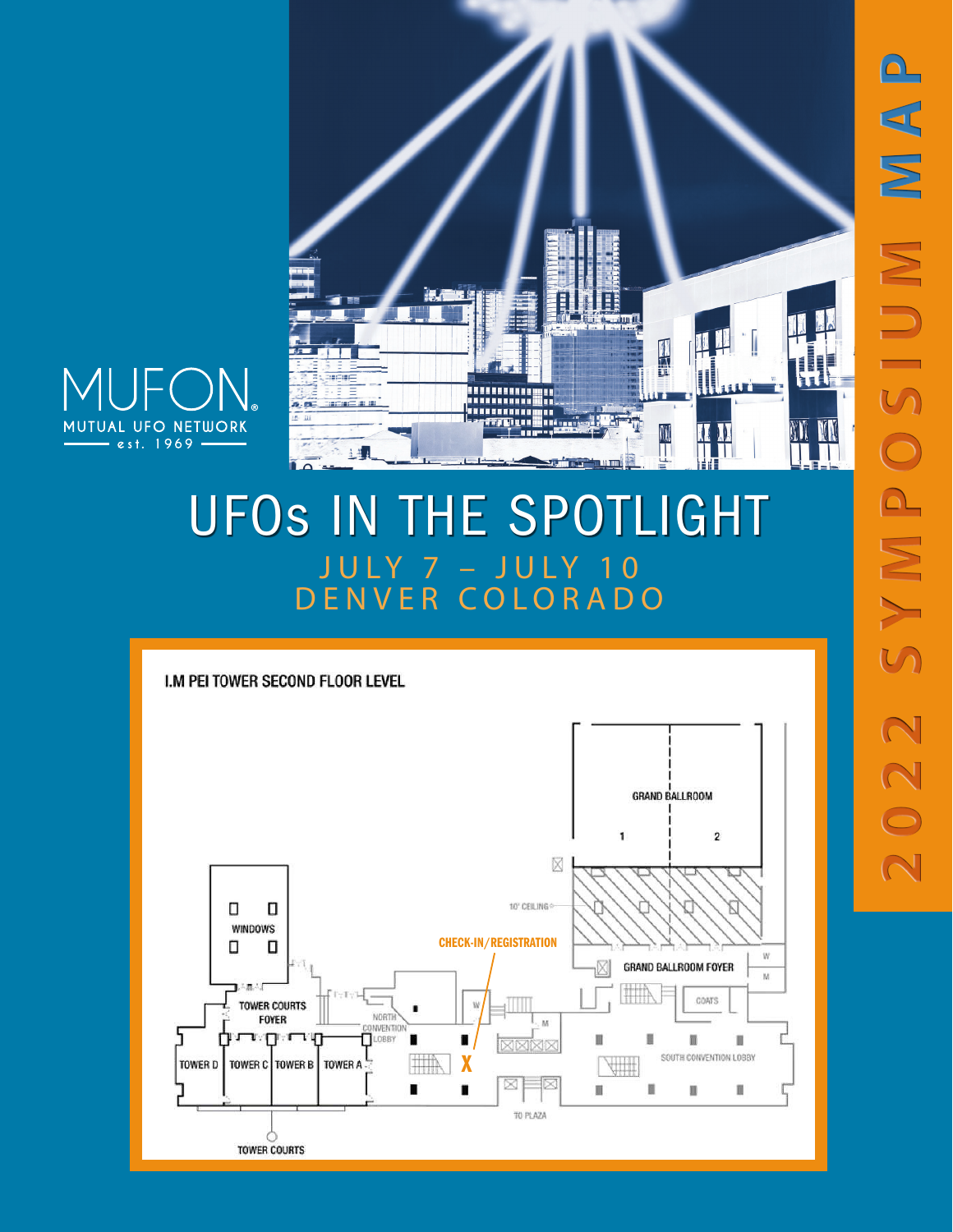

W KK



## UFOs IN THE SPOTLIGHT JULY 7 – JULY 10 DENVER COLORADO

Jun II.

W

I.M PEI TOWER SECOND FLOOR LEVEL

51.08.

**SECIED B** 

里